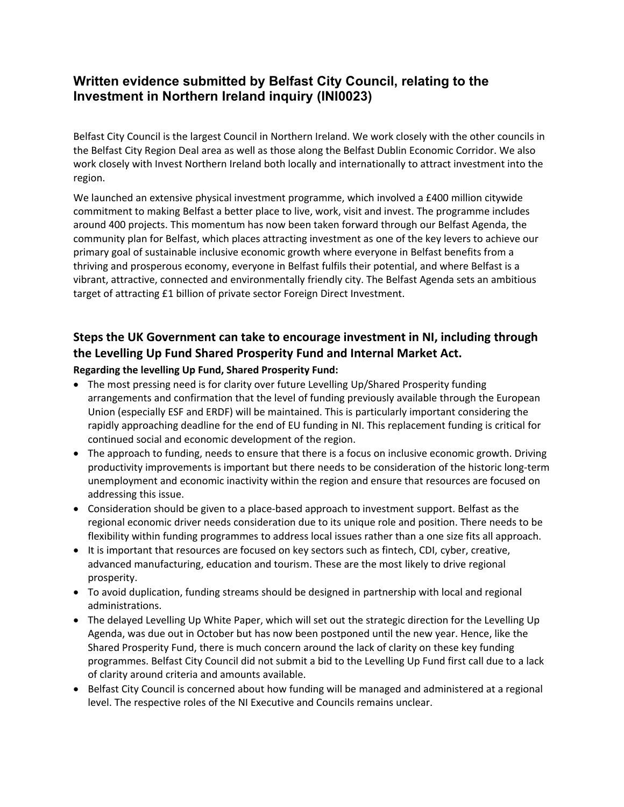# **Written evidence submitted by Belfast City Council, relating to the Investment in Northern Ireland inquiry (INI0023)**

Belfast City Council is the largest Council in Northern Ireland. We work closely with the other councils in the Belfast City Region Deal area as well as those along the Belfast Dublin Economic Corridor. We also work closely with Invest Northern Ireland both locally and internationally to attract investment into the region.

We launched an extensive physical investment programme, which involved a £400 million citywide commitment to making Belfast a better place to live, work, visit and invest. The programme includes around 400 projects. This momentum has now been taken forward through our Belfast Agenda, the community plan for Belfast, which places attracting investment as one of the key levers to achieve our primary goal of sustainable inclusive economic growth where everyone in Belfast benefits from a thriving and prosperous economy, everyone in Belfast fulfils their potential, and where Belfast is a vibrant, attractive, connected and environmentally friendly city. The Belfast Agenda sets an ambitious target of attracting £1 billion of private sector Foreign Direct Investment.

# **Steps the UK Government can take to encourage investment in NI, including through the Levelling Up Fund Shared Prosperity Fund and Internal Market Act.**

#### **Regarding the levelling Up Fund, Shared Prosperity Fund:**

- The most pressing need is for clarity over future Levelling Up/Shared Prosperity funding arrangements and confirmation that the level of funding previously available through the European Union (especially ESF and ERDF) will be maintained. This is particularly important considering the rapidly approaching deadline for the end of EU funding in NI. This replacement funding is critical for continued social and economic development of the region.
- The approach to funding, needs to ensure that there is a focus on inclusive economic growth. Driving productivity improvements is important but there needs to be consideration of the historic long-term unemployment and economic inactivity within the region and ensure that resources are focused on addressing this issue.
- Consideration should be given to a place-based approach to investment support. Belfast as the regional economic driver needs consideration due to its unique role and position. There needs to be flexibility within funding programmes to address local issues rather than a one size fits all approach.
- It is important that resources are focused on key sectors such as fintech, CDI, cyber, creative, advanced manufacturing, education and tourism. These are the most likely to drive regional prosperity.
- To avoid duplication, funding streams should be designed in partnership with local and regional administrations.
- The delayed Levelling Up White Paper, which will set out the strategic direction for the Levelling Up Agenda, was due out in October but has now been postponed until the new year. Hence, like the Shared Prosperity Fund, there is much concern around the lack of clarity on these key funding programmes. Belfast City Council did not submit a bid to the Levelling Up Fund first call due to a lack of clarity around criteria and amounts available.
- Belfast City Council is concerned about how funding will be managed and administered at a regional level. The respective roles of the NI Executive and Councils remains unclear.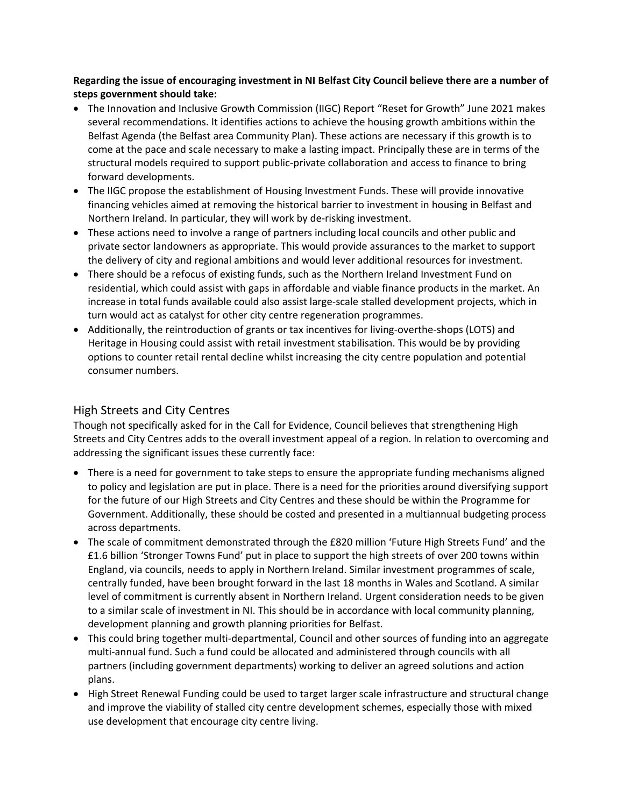**Regarding the issue of encouraging investment in NI Belfast City Council believe there are a number of steps government should take:**

- The Innovation and Inclusive Growth Commission (IIGC) Report "Reset for Growth" June 2021 makes several recommendations. It identifies actions to achieve the housing growth ambitions within the Belfast Agenda (the Belfast area Community Plan). These actions are necessary if this growth is to come at the pace and scale necessary to make a lasting impact. Principally these are in terms of the structural models required to support public-private collaboration and access to finance to bring forward developments.
- The IIGC propose the establishment of Housing Investment Funds. These will provide innovative financing vehicles aimed at removing the historical barrier to investment in housing in Belfast and Northern Ireland. In particular, they will work by de-risking investment.
- These actions need to involve a range of partners including local councils and other public and private sector landowners as appropriate. This would provide assurances to the market to support the delivery of city and regional ambitions and would lever additional resources for investment.
- There should be a refocus of existing funds, such as the Northern Ireland Investment Fund on residential, which could assist with gaps in affordable and viable finance products in the market. An increase in total funds available could also assist large-scale stalled development projects, which in turn would act as catalyst for other city centre regeneration programmes.
- Additionally, the reintroduction of grants or tax incentives for living-overthe-shops (LOTS) and Heritage in Housing could assist with retail investment stabilisation. This would be by providing options to counter retail rental decline whilst increasing the city centre population and potential consumer numbers.

### High Streets and City Centres

Though not specifically asked for in the Call for Evidence, Council believes that strengthening High Streets and City Centres adds to the overall investment appeal of a region. In relation to overcoming and addressing the significant issues these currently face:

- There is a need for government to take steps to ensure the appropriate funding mechanisms aligned to policy and legislation are put in place. There is a need for the priorities around diversifying support for the future of our High Streets and City Centres and these should be within the Programme for Government. Additionally, these should be costed and presented in a multiannual budgeting process across departments.
- The scale of commitment demonstrated through the £820 million 'Future High Streets Fund' and the £1.6 billion 'Stronger Towns Fund' put in place to support the high streets of over 200 towns within England, via councils, needs to apply in Northern Ireland. Similar investment programmes of scale, centrally funded, have been brought forward in the last 18 months in Wales and Scotland. A similar level of commitment is currently absent in Northern Ireland. Urgent consideration needs to be given to a similar scale of investment in NI. This should be in accordance with local community planning, development planning and growth planning priorities for Belfast.
- This could bring together multi-departmental, Council and other sources of funding into an aggregate multi-annual fund. Such a fund could be allocated and administered through councils with all partners (including government departments) working to deliver an agreed solutions and action plans.
- High Street Renewal Funding could be used to target larger scale infrastructure and structural change and improve the viability of stalled city centre development schemes, especially those with mixed use development that encourage city centre living.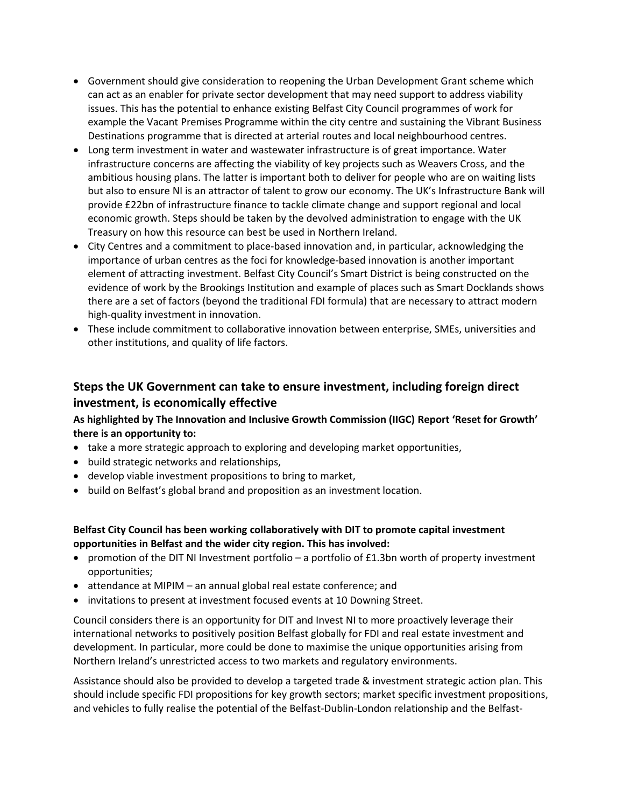- Government should give consideration to reopening the Urban Development Grant scheme which can act as an enabler for private sector development that may need support to address viability issues. This has the potential to enhance existing Belfast City Council programmes of work for example the Vacant Premises Programme within the city centre and sustaining the Vibrant Business Destinations programme that is directed at arterial routes and local neighbourhood centres.
- Long term investment in water and wastewater infrastructure is of great importance. Water infrastructure concerns are affecting the viability of key projects such as Weavers Cross, and the ambitious housing plans. The latter is important both to deliver for people who are on waiting lists but also to ensure NI is an attractor of talent to grow our economy. The UK's Infrastructure Bank will provide £22bn of infrastructure finance to tackle climate change and support regional and local economic growth. Steps should be taken by the devolved administration to engage with the UK Treasury on how this resource can best be used in Northern Ireland.
- City Centres and a commitment to place-based innovation and, in particular, acknowledging the importance of urban centres as the foci for knowledge-based innovation is another important element of attracting investment. Belfast City Council's Smart District is being constructed on the evidence of work by the Brookings Institution and example of places such as Smart Docklands shows there are a set of factors (beyond the traditional FDI formula) that are necessary to attract modern high-quality investment in innovation.
- These include commitment to collaborative innovation between enterprise, SMEs, universities and other institutions, and quality of life factors.

### **Steps the UK Government can take to ensure investment, including foreign direct investment, is economically effective**

### **As highlighted by The Innovation and Inclusive Growth Commission (IIGC) Report 'Reset for Growth' there is an opportunity to:**

- take a more strategic approach to exploring and developing market opportunities,
- build strategic networks and relationships,
- develop viable investment propositions to bring to market,
- build on Belfast's global brand and proposition as an investment location.

### **Belfast City Council has been working collaboratively with DIT to promote capital investment opportunities in Belfast and the wider city region. This has involved:**

- promotion of the DIT NI Investment portfolio a portfolio of £1.3bn worth of property investment opportunities;
- attendance at MIPIM an annual global real estate conference; and
- invitations to present at investment focused events at 10 Downing Street.

Council considers there is an opportunity for DIT and Invest NI to more proactively leverage their international networks to positively position Belfast globally for FDI and real estate investment and development. In particular, more could be done to maximise the unique opportunities arising from Northern Ireland's unrestricted access to two markets and regulatory environments.

Assistance should also be provided to develop a targeted trade & investment strategic action plan. This should include specific FDI propositions for key growth sectors; market specific investment propositions, and vehicles to fully realise the potential of the Belfast-Dublin-London relationship and the Belfast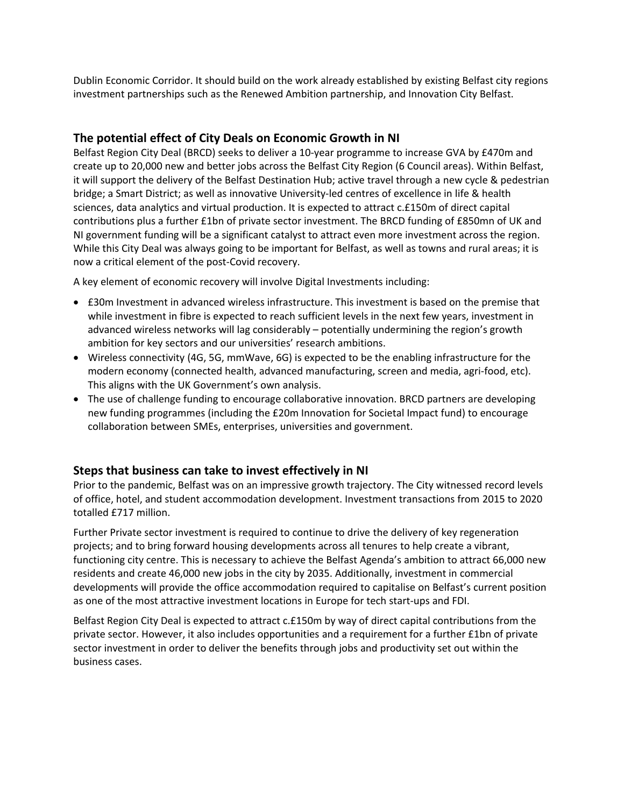Dublin Economic Corridor. It should build on the work already established by existing Belfast city regions investment partnerships such as the Renewed Ambition partnership, and Innovation City Belfast.

### **The potential effect of City Deals on Economic Growth in NI**

Belfast Region City Deal (BRCD) seeks to deliver a 10-year programme to increase GVA by £470m and create up to 20,000 new and better jobs across the Belfast City Region (6 Council areas). Within Belfast, it will support the delivery of the Belfast Destination Hub; active travel through a new cycle & pedestrian bridge; a Smart District; as well as innovative University-led centres of excellence in life & health sciences, data analytics and virtual production. It is expected to attract c.£150m of direct capital contributions plus a further £1bn of private sector investment. The BRCD funding of £850mn of UK and NI government funding will be a significant catalyst to attract even more investment across the region. While this City Deal was always going to be important for Belfast, as well as towns and rural areas; it is now a critical element of the post-Covid recovery.

A key element of economic recovery will involve Digital Investments including:

- £30m Investment in advanced wireless infrastructure. This investment is based on the premise that while investment in fibre is expected to reach sufficient levels in the next few years, investment in advanced wireless networks will lag considerably – potentially undermining the region's growth ambition for key sectors and our universities' research ambitions.
- Wireless connectivity (4G, 5G, mmWave, 6G) is expected to be the enabling infrastructure for the modern economy (connected health, advanced manufacturing, screen and media, agri-food, etc). This aligns with the UK Government's own analysis.
- The use of challenge funding to encourage collaborative innovation. BRCD partners are developing new funding programmes (including the £20m Innovation for Societal Impact fund) to encourage collaboration between SMEs, enterprises, universities and government.

### **Steps that business can take to invest effectively in NI**

Prior to the pandemic, Belfast was on an impressive growth trajectory. The City witnessed record levels of office, hotel, and student accommodation development. Investment transactions from 2015 to 2020 totalled £717 million.

Further Private sector investment is required to continue to drive the delivery of key regeneration projects; and to bring forward housing developments across all tenures to help create a vibrant, functioning city centre. This is necessary to achieve the Belfast Agenda's ambition to attract 66,000 new residents and create 46,000 new jobs in the city by 2035. Additionally, investment in commercial developments will provide the office accommodation required to capitalise on Belfast's current position as one of the most attractive investment locations in Europe for tech start-ups and FDI.

Belfast Region City Deal is expected to attract c.£150m by way of direct capital contributions from the private sector. However, it also includes opportunities and a requirement for a further £1bn of private sector investment in order to deliver the benefits through jobs and productivity set out within the business cases.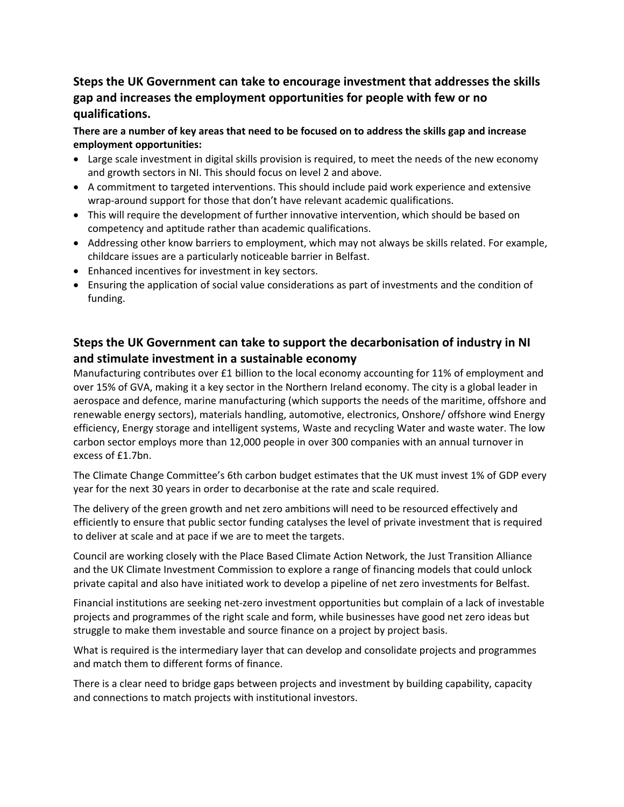# **Steps the UK Government can take to encourage investment that addresses the skills gap and increases the employment opportunities for people with few or no qualifications.**

There are a number of key areas that need to be focused on to address the skills gap and increase **employment opportunities:**

- Large scale investment in digital skills provision is required, to meet the needs of the new economy and growth sectors in NI. This should focus on level 2 and above.
- A commitment to targeted interventions. This should include paid work experience and extensive wrap-around support for those that don't have relevant academic qualifications.
- This will require the development of further innovative intervention, which should be based on competency and aptitude rather than academic qualifications.
- Addressing other know barriers to employment, which may not always be skills related. For example, childcare issues are a particularly noticeable barrier in Belfast.
- Enhanced incentives for investment in key sectors.
- Ensuring the application of social value considerations as part of investments and the condition of funding.

# **Steps the UK Government can take to support the decarbonisation of industry in NI and stimulate investment in a sustainable economy**

Manufacturing contributes over £1 billion to the local economy accounting for 11% of employment and over 15% of GVA, making it a key sector in the Northern Ireland economy. The city is a global leader in aerospace and defence, marine manufacturing (which supports the needs of the maritime, offshore and renewable energy sectors), materials handling, automotive, electronics, Onshore/ offshore wind Energy efficiency, Energy storage and intelligent systems, Waste and recycling Water and waste water. The low carbon sector employs more than 12,000 people in over 300 companies with an annual turnover in excess of £1.7bn.

The Climate Change Committee's 6th carbon budget estimates that the UK must invest 1% of GDP every year for the next 30 years in order to decarbonise at the rate and scale required.

The delivery of the green growth and net zero ambitions will need to be resourced effectively and efficiently to ensure that public sector funding catalyses the level of private investment that is required to deliver at scale and at pace if we are to meet the targets.

Council are working closely with the Place Based Climate Action Network, the Just Transition Alliance and the UK Climate Investment Commission to explore a range of financing models that could unlock private capital and also have initiated work to develop a pipeline of net zero investments for Belfast.

Financial institutions are seeking net-zero investment opportunities but complain of a lack of investable projects and programmes of the right scale and form, while businesses have good net zero ideas but struggle to make them investable and source finance on a project by project basis.

What is required is the intermediary layer that can develop and consolidate projects and programmes and match them to different forms of finance.

There is a clear need to bridge gaps between projects and investment by building capability, capacity and connections to match projects with institutional investors.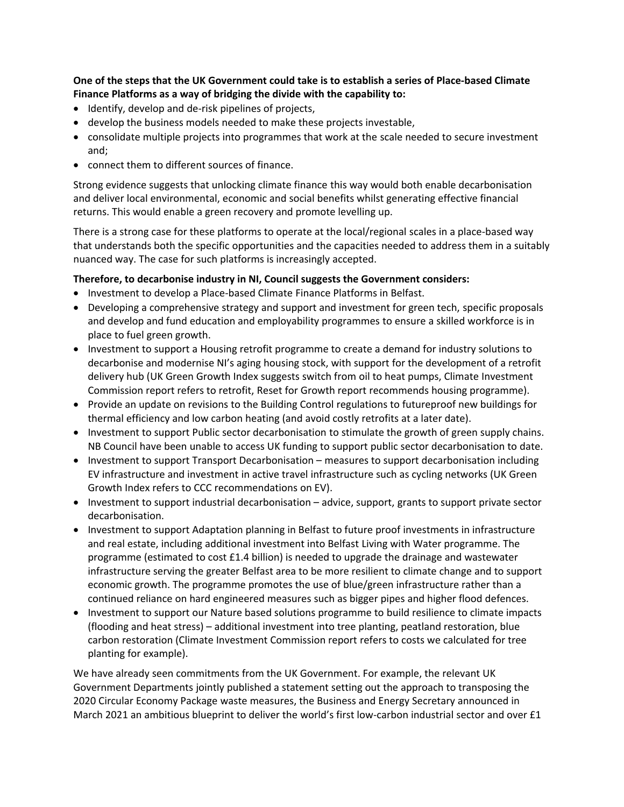**One of the steps that the UK Government could take is to establish a series of Place-based Climate Finance Platforms as a way of bridging the divide with the capability to:**

- Identify, develop and de-risk pipelines of projects,
- develop the business models needed to make these projects investable,
- consolidate multiple projects into programmes that work at the scale needed to secure investment and;
- connect them to different sources of finance.

Strong evidence suggests that unlocking climate finance this way would both enable decarbonisation and deliver local environmental, economic and social benefits whilst generating effective financial returns. This would enable a green recovery and promote levelling up.

There is a strong case for these platforms to operate at the local/regional scales in a place-based way that understands both the specific opportunities and the capacities needed to address them in a suitably nuanced way. The case for such platforms is increasingly accepted.

#### **Therefore, to decarbonise industry in NI, Council suggests the Government considers:**

- Investment to develop a Place-based Climate Finance Platforms in Belfast.
- Developing a comprehensive strategy and support and investment for green tech, specific proposals and develop and fund education and employability programmes to ensure a skilled workforce is in place to fuel green growth.
- Investment to support a Housing retrofit programme to create a demand for industry solutions to decarbonise and modernise NI's aging housing stock, with support for the development of a retrofit delivery hub (UK Green Growth Index suggests switch from oil to heat pumps, Climate Investment Commission report refers to retrofit, Reset for Growth report recommends housing programme).
- Provide an update on revisions to the Building Control regulations to futureproof new buildings for thermal efficiency and low carbon heating (and avoid costly retrofits at a later date).
- Investment to support Public sector decarbonisation to stimulate the growth of green supply chains. NB Council have been unable to access UK funding to support public sector decarbonisation to date.
- Investment to support Transport Decarbonisation measures to support decarbonisation including EV infrastructure and investment in active travel infrastructure such as cycling networks (UK Green Growth Index refers to CCC recommendations on EV).
- Investment to support industrial decarbonisation advice, support, grants to support private sector decarbonisation.
- Investment to support Adaptation planning in Belfast to future proof investments in infrastructure and real estate, including additional investment into Belfast Living with Water programme. The programme (estimated to cost £1.4 billion) is needed to upgrade the drainage and wastewater infrastructure serving the greater Belfast area to be more resilient to climate change and to support economic growth. The programme promotes the use of blue/green infrastructure rather than a continued reliance on hard engineered measures such as bigger pipes and higher flood defences.
- Investment to support our Nature based solutions programme to build resilience to climate impacts (flooding and heat stress) – additional investment into tree planting, peatland restoration, blue carbon restoration (Climate Investment Commission report refers to costs we calculated for tree planting for example).

We have already seen commitments from the UK Government. For example, the relevant UK Government Departments jointly published a statement setting out the approach to transposing the 2020 Circular Economy Package waste measures, the Business and Energy Secretary announced in March 2021 an ambitious blueprint to deliver the world's first low-carbon industrial sector and over £1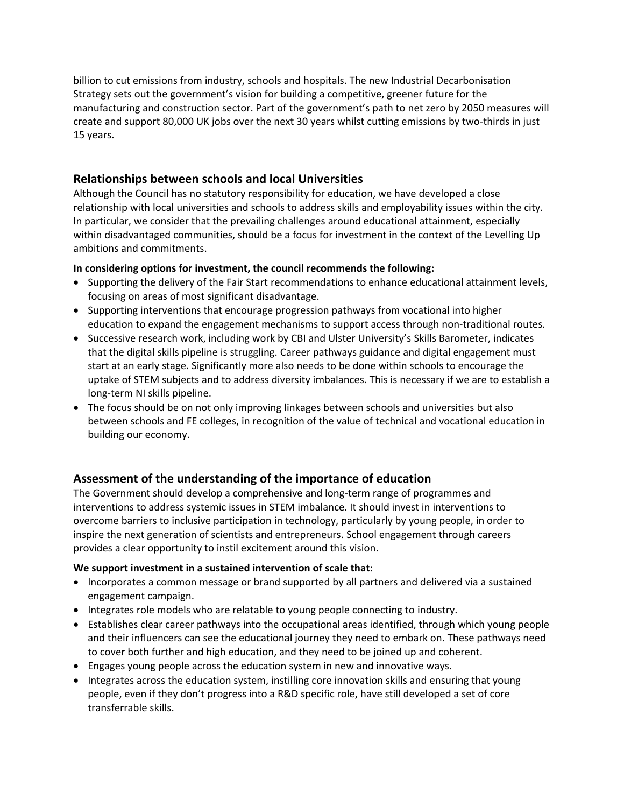billion to cut emissions from industry, schools and hospitals. The new Industrial Decarbonisation Strategy sets out the government's vision for building a competitive, greener future for the manufacturing and construction sector. Part of the government's path to net zero by 2050 measures will create and support 80,000 UK jobs over the next 30 years whilst cutting emissions by two-thirds in just 15 years.

### **Relationships between schools and local Universities**

Although the Council has no statutory responsibility for education, we have developed a close relationship with local universities and schools to address skills and employability issues within the city. In particular, we consider that the prevailing challenges around educational attainment, especially within disadvantaged communities, should be a focus for investment in the context of the Levelling Up ambitions and commitments.

### **In considering options for investment, the council recommends the following:**

- Supporting the delivery of the Fair Start recommendations to enhance educational attainment levels, focusing on areas of most significant disadvantage.
- Supporting interventions that encourage progression pathways from vocational into higher education to expand the engagement mechanisms to support access through non-traditional routes.
- Successive research work, including work by CBI and Ulster University's Skills Barometer, indicates that the digital skills pipeline is struggling. Career pathways guidance and digital engagement must start at an early stage. Significantly more also needs to be done within schools to encourage the uptake of STEM subjects and to address diversity imbalances. This is necessary if we are to establish a long-term NI skills pipeline.
- The focus should be on not only improving linkages between schools and universities but also between schools and FE colleges, in recognition of the value of technical and vocational education in building our economy.

### **Assessment of the understanding of the importance of education**

The Government should develop a comprehensive and long-term range of programmes and interventions to address systemic issues in STEM imbalance. It should invest in interventions to overcome barriers to inclusive participation in technology, particularly by young people, in order to inspire the next generation of scientists and entrepreneurs. School engagement through careers provides a clear opportunity to instil excitement around this vision.

### **We support investment in a sustained intervention of scale that:**

- Incorporates a common message or brand supported by all partners and delivered via a sustained engagement campaign.
- Integrates role models who are relatable to young people connecting to industry.
- Establishes clear career pathways into the occupational areas identified, through which young people and their influencers can see the educational journey they need to embark on. These pathways need to cover both further and high education, and they need to be joined up and coherent.
- Engages young people across the education system in new and innovative ways.
- Integrates across the education system, instilling core innovation skills and ensuring that young people, even if they don't progress into a R&D specific role, have still developed a set of core transferrable skills.